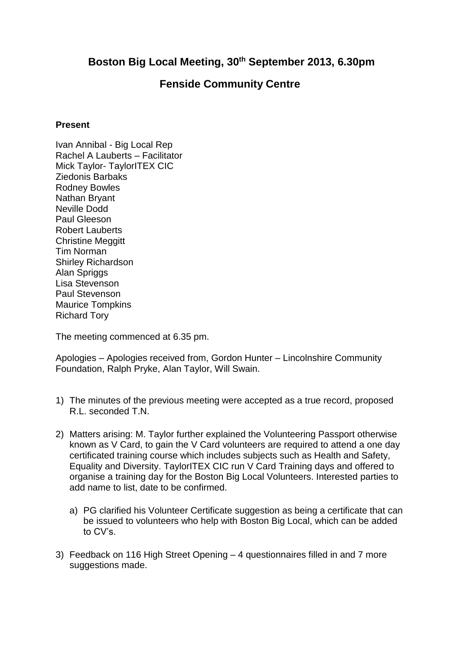## **Boston Big Local Meeting, 30th September 2013, 6.30pm**

## **Fenside Community Centre**

## **Present**

Ivan Annibal - Big Local Rep Rachel A Lauberts – Facilitator Mick Taylor- TaylorITEX CIC Ziedonis Barbaks Rodney Bowles Nathan Bryant Neville Dodd Paul Gleeson Robert Lauberts Christine Meggitt Tim Norman Shirley Richardson Alan Spriggs Lisa Stevenson Paul Stevenson Maurice Tompkins Richard Tory

The meeting commenced at 6.35 pm.

Apologies – Apologies received from, Gordon Hunter – Lincolnshire Community Foundation, Ralph Pryke, Alan Taylor, Will Swain.

- 1) The minutes of the previous meeting were accepted as a true record, proposed R.L. seconded T.N.
- 2) Matters arising: M. Taylor further explained the Volunteering Passport otherwise known as V Card, to gain the V Card volunteers are required to attend a one day certificated training course which includes subjects such as Health and Safety, Equality and Diversity. TaylorITEX CIC run V Card Training days and offered to organise a training day for the Boston Big Local Volunteers. Interested parties to add name to list, date to be confirmed.
	- a) PG clarified his Volunteer Certificate suggestion as being a certificate that can be issued to volunteers who help with Boston Big Local, which can be added to CV's.
- 3) Feedback on 116 High Street Opening 4 questionnaires filled in and 7 more suggestions made.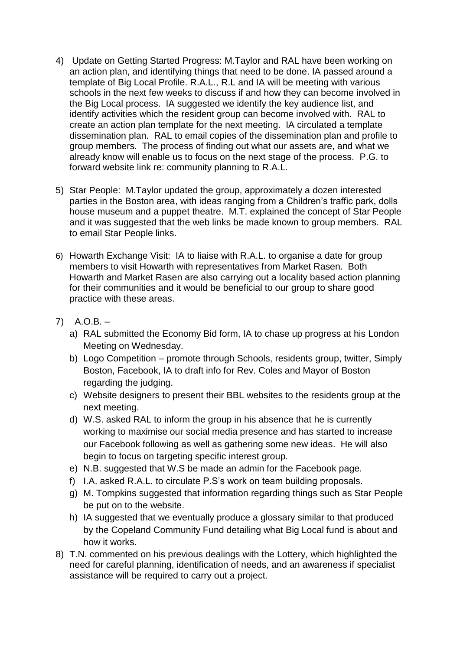- 4) Update on Getting Started Progress: M.Taylor and RAL have been working on an action plan, and identifying things that need to be done. IA passed around a template of Big Local Profile. R.A.L., R.L and IA will be meeting with various schools in the next few weeks to discuss if and how they can become involved in the Big Local process. IA suggested we identify the key audience list, and identify activities which the resident group can become involved with. RAL to create an action plan template for the next meeting. IA circulated a template dissemination plan. RAL to email copies of the dissemination plan and profile to group members. The process of finding out what our assets are, and what we already know will enable us to focus on the next stage of the process. P.G. to forward website link re: community planning to R.A.L.
- 5) Star People: M.Taylor updated the group, approximately a dozen interested parties in the Boston area, with ideas ranging from a Children's traffic park, dolls house museum and a puppet theatre. M.T. explained the concept of Star People and it was suggested that the web links be made known to group members. RAL to email Star People links.
- 6) Howarth Exchange Visit: IA to liaise with R.A.L. to organise a date for group members to visit Howarth with representatives from Market Rasen. Both Howarth and Market Rasen are also carrying out a locality based action planning for their communities and it would be beneficial to our group to share good practice with these areas.
- 7) A.O.B.
	- a) RAL submitted the Economy Bid form, IA to chase up progress at his London Meeting on Wednesday.
	- b) Logo Competition promote through Schools, residents group, twitter, Simply Boston, Facebook, IA to draft info for Rev. Coles and Mayor of Boston regarding the judging.
	- c) Website designers to present their BBL websites to the residents group at the next meeting.
	- d) W.S. asked RAL to inform the group in his absence that he is currently working to maximise our social media presence and has started to increase our Facebook following as well as gathering some new ideas. He will also begin to focus on targeting specific interest group.
	- e) N.B. suggested that W.S be made an admin for the Facebook page.
	- f) I.A. asked R.A.L. to circulate P.S's work on team building proposals.
	- g) M. Tompkins suggested that information regarding things such as Star People be put on to the website.
	- h) IA suggested that we eventually produce a glossary similar to that produced by the Copeland Community Fund detailing what Big Local fund is about and how it works.
- 8) T.N. commented on his previous dealings with the Lottery, which highlighted the need for careful planning, identification of needs, and an awareness if specialist assistance will be required to carry out a project.